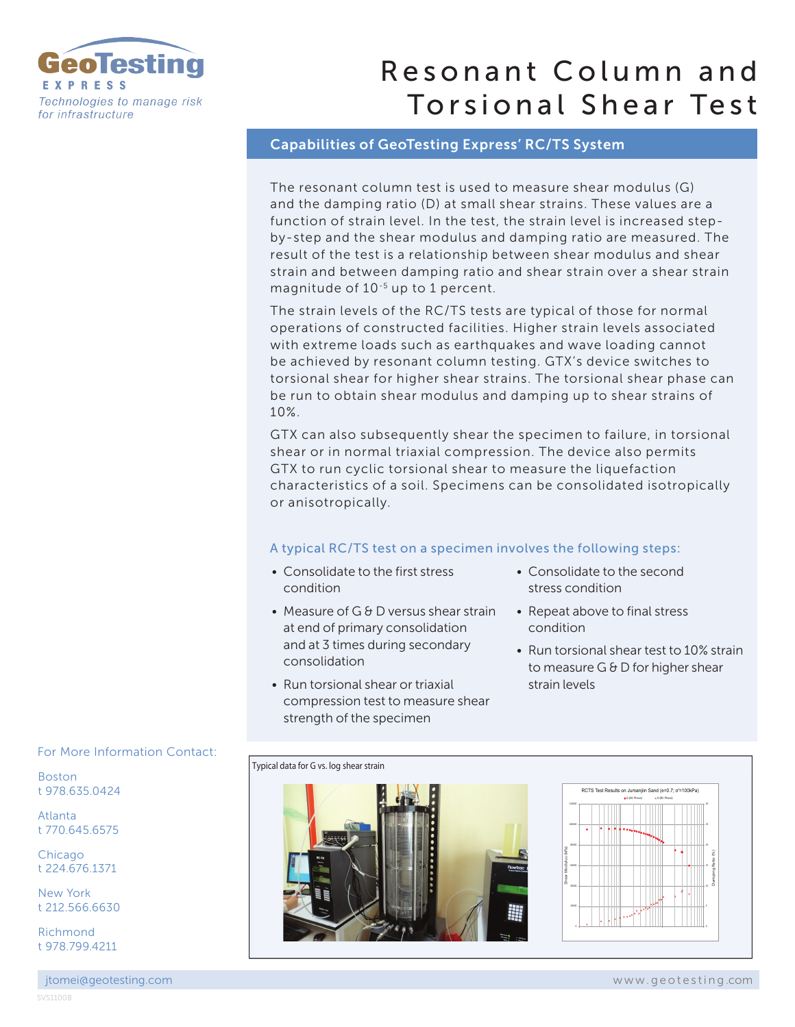

# Resonant Column and Torsional Shear Test

### Capabilities of GeoTesting Express' RC/TS System

The resonant column test is used to measure shear modulus (G) and the damping ratio (D) at small shear strains. These values are a function of strain level. In the test, the strain level is increased stepby-step and the shear modulus and damping ratio are measured. The result of the test is a relationship between shear modulus and shear strain and between damping ratio and shear strain over a shear strain magnitude of 10-5 up to 1 percent.

The strain levels of the RC/TS tests are typical of those for normal operations of constructed facilities. Higher strain levels associated with extreme loads such as earthquakes and wave loading cannot be achieved by resonant column testing. GTX's device switches to torsional shear for higher shear strains. The torsional shear phase can be run to obtain shear modulus and damping up to shear strains of 10%.

GTX can also subsequently shear the specimen to failure, in torsional shear or in normal triaxial compression. The device also permits GTX to run cyclic torsional shear to measure the liquefaction characteristics of a soil. Specimens can be consolidated isotropically or anisotropically.

#### A typical RC/TS test on a specimen involves the following steps:

- Consolidate to the first stress condition
- Measure of G & D versus shear strain at end of primary consolidation and at 3 times during secondary consolidation
- Run torsional shear or triaxial compression test to measure shear strength of the specimen
- Consolidate to the second stress condition
- Repeat above to final stress condition
- Run torsional shear test to 10% strain to measure G & D for higher shear strain levels



For More Information Contact:

Boston t 978.635.0424

Atlanta t 770.645.6575

Chicago t 224.676.1371

New York t 212.566.6630

Richmond t 978.799.4211